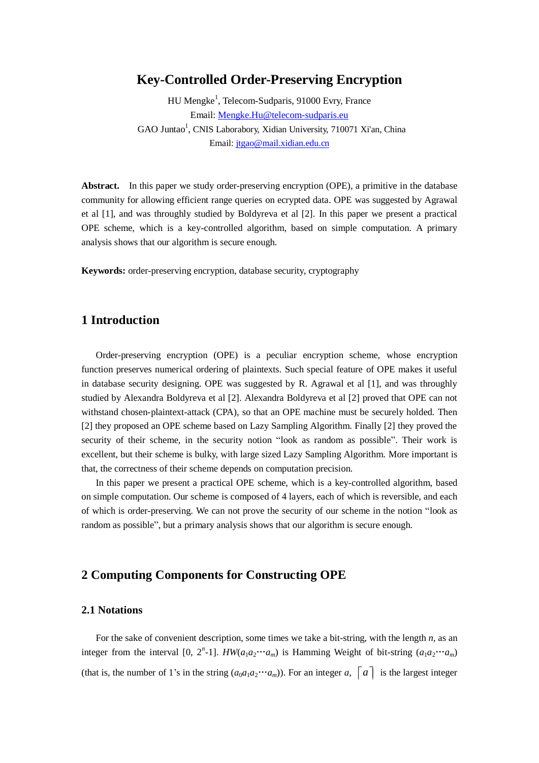# **Key-Controlled Order-Preserving Encryption**

HU Mengke<sup>1</sup>, Telecom-Sudparis, 91000 Evry, France Email: [Mengke.Hu@telecom-sudparis.eu](mailto:Mengke.Hu@telecom-sudparis.eu) GAO Juntao<sup>1</sup>, CNIS Laborabory, Xidian University, 710071 Xi'an, China Email[: jtgao@mail.xidian.edu.cn](mailto:jtgao@mail.xidian.edu.cn)

**Abstract.** In this paper we study order-preserving encryption (OPE), a primitive in the database community for allowing efficient range queries on ecrypted data. OPE was suggested by Agrawal et al [1], and was throughly studied by Boldyreva et al [2]. In this paper we present a practical OPE scheme, which is a key-controlled algorithm, based on simple computation. A primary analysis shows that our algorithm is secure enough.

**Keywords:** order-preserving encryption, database security, cryptography

## **1 Introduction**

Order-preserving encryption (OPE) is a peculiar encryption scheme, whose encryption function preserves numerical ordering of plaintexts. Such special feature of OPE makes it useful in database security designing. OPE was suggested by R. Agrawal et al [1], and was throughly studied by Alexandra Boldyreva et al [2]. Alexandra Boldyreva et al [2] proved that OPE can not withstand chosen-plaintext-attack (CPA), so that an OPE machine must be securely holded. Then [2] they proposed an OPE scheme based on Lazy Sampling Algorithm. Finally [2] they proved the security of their scheme, in the security notion "look as random as possible". Their work is excellent, but their scheme is bulky, with large sized Lazy Sampling Algorithm. More important is that, the correctness of their scheme depends on computation precision.

In this paper we present a practical OPE scheme, which is a key-controlled algorithm, based on simple computation. Our scheme is composed of 4 layers, each of which is reversible, and each of which is order-preserving. We can not prove the security of our scheme in the notion "look as random as possible", but a primary analysis shows that our algorithm is secure enough.

# **2 Computing Components for Constructing OPE**

#### **2.1 Notations**

For the sake of convenient description, some times we take a bit-string, with the length *n*, as an integer from the interval [0, 2<sup>n</sup>-1]. *HW*( $a_1a_2 \cdots a_m$ ) is Hamming Weight of bit-string  $(a_1a_2 \cdots a_m)$ (that is, the number of 1's in the string  $(a_0a_1a_2 \cdots a_m)$ ). For an integer *a*,  $\begin{bmatrix} a \end{bmatrix}$  is the largest integer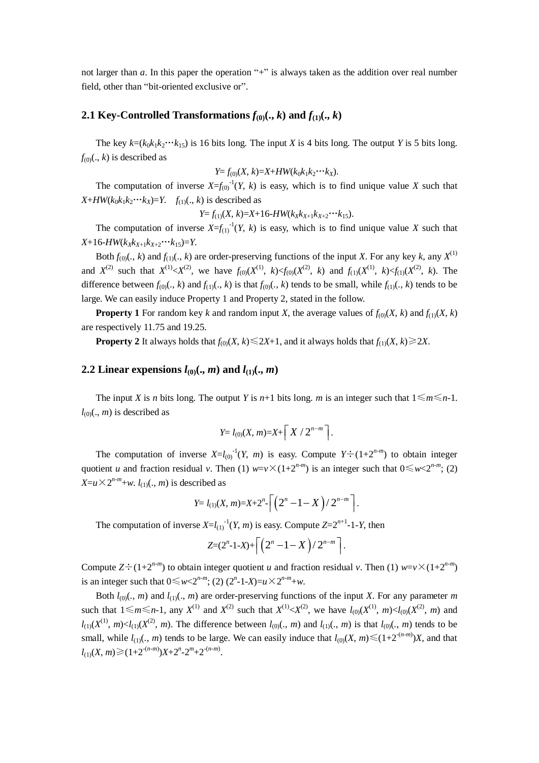not larger than *a*. In this paper the operation "+" is always taken as the addition over real number field, other than "bit-oriented exclusive or".

## **2.1 Key-Controlled Transformations**  $f_{(0)}(., k)$  and  $f_{(1)}(., k)$

The key  $k = (k_0 k_1 k_2 \cdots k_{15})$  is 16 bits long. The input *X* is 4 bits long. The output *Y* is 5 bits long.  $f_{(0)}(., k)$  is described as

 $Y = f_{(0)}(X, k) = X + HW(k_0k_1k_2\cdots k_X).$ 

The computation of inverse  $X=f_{(0)}^{-1}(Y, k)$  is easy, which is to find unique value X such that  $X+HW(k_0k_1k_2\cdots k_X)=Y$ .  $f_{(1)}(.,k)$  is described as

 $Y = f_{(1)}(X, k) = X + 16$ -*HW*( $k_X k_{X+1} k_{X+2} \cdots k_{15}$ ).

The computation of inverse  $X=f_{(1)}^{-1}(Y, k)$  is easy, which is to find unique value X such that  $X+16$ -*HW*( $k_{X}k_{X+1}k_{X+2}\cdots k_{15}$ )=*Y*.

Both  $f_{(0)}(., k)$  and  $f_{(1)}(., k)$  are order-preserving functions of the input *X*. For any key *k*, any  $X^{(1)}$ and  $X^{(2)}$  such that  $X^{(1)} < X^{(2)}$ , we have  $f_{(0)}(X^{(1)}, k) < f_{(0)}(X^{(2)}, k)$  and  $f_{(1)}(X^{(1)}, k) < f_{(1)}(X^{(2)}, k)$ . The difference between  $f_{(0)}(., k)$  and  $f_{(1)}(., k)$  is that  $f_{(0)}(., k)$  tends to be small, while  $f_{(1)}(., k)$  tends to be large. We can easily induce Property 1 and Property 2, stated in the follow.

**Property 1** For random key *k* and random input *X*, the average values of  $f_{00}(X, k)$  and  $f_{10}(X, k)$ are respectively 11.75 and 19.25.

**Property 2** It always holds that  $f_{(0)}(X, k) \le 2X+1$ , and it always holds that  $f_{(1)}(X, k) \ge 2X$ .

#### **2.2 Linear expensions**  $l_{(0)}(., m)$  and  $l_{(1)}(., m)$

The input *X* is *n* bits long. The output *Y* is *n*+1 bits long. *m* is an integer such that  $1 \le m \le n-1$ .  $l_{00}$ (., *m*) is described as

$$
Y= l_{(0)}(X,m)=X+\left\lceil\,X\;/\;2^{n-m}\;\right\rceil.
$$

The computation of inverse  $X = l_{(0)}^{-1}(Y, m)$  is easy. Compute  $Y \div (1 + 2^{n-m})$  to obtain integer quotient *u* and fraction residual *v*. Then (1)  $w=v\times(1+2^{n-m})$  is an integer such that  $0 \leq w < 2^{n-m}$ ; (2)  $X = u \times 2^{n-m} + w$ . *l*<sub>(1)</sub>(., *m*) is described as

$$
Y = l_{(1)}(X, m) = X + 2^{n} \cdot \left[ \left( 2^{n} - 1 - X \right) / 2^{n-m} \right].
$$

The computation of inverse  $X = l_{(1)}^{-1}(Y, m)$  is easy. Compute  $Z = 2^{n+1}-1-Y$ , then

$$
Z=(2^n-1-X)+\left\lceil\left(2^n-1-X\right)/2^{n-m}\right\rceil.
$$

Compute  $Z \div (1+2^{n-m})$  to obtain integer quotient *u* and fraction residual *v*. Then (1)  $w = v \times (1+2^{n-m})$ is an integer such that  $0 \le w < 2^{n-m}$ ; (2)  $(2^n - 1 - X) = u \times 2^{n-m} + w$ .

Both  $l_{(0)}(., m)$  and  $l_{(1)}(., m)$  are order-preserving functions of the input *X*. For any parameter *m* such that  $1 \le m \le n-1$ , any  $X^{(1)}$  and  $X^{(2)}$  such that  $X^{(1)} < X^{(2)}$ , we have  $l_{(0)}(X^{(1)}, m) < l_{(0)}(X^{(2)}, m)$  and  $l_{(1)}(X^{(1)}, m) \lt l_{(1)}(X^{(2)}, m)$ . The difference between  $l_{(0)}(., m)$  and  $l_{(1)}(., m)$  is that  $l_{(0)}(., m)$  tends to be small, while  $l_{(1)}(., m)$  tends to be large. We can easily induce that  $l_{(0)}(X, m) \le (1+2^{-(n-m)})X$ , and that  $l_{(1)}(X, m) \geq (1+2^{-(n-m)})X+2^{n}-2^{m}+2^{-(n-m)}.$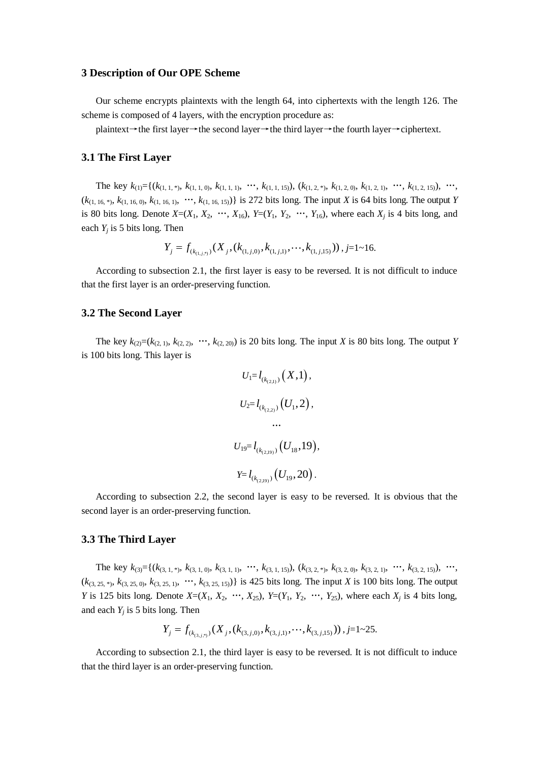#### **3 Description of Our OPE Scheme**

Our scheme encrypts plaintexts with the length 64, into ciphertexts with the length 126. The scheme is composed of 4 layers, with the encryption procedure as:

plaintext→the first layer→the second layer→the third layer→the fourth layer→ciphertext.

#### **3.1 The First Layer**

The key  $k_{(1)} = \{(k_{(1, 1, 1)}, k_{(1, 1, 0)}, k_{(1, 1, 1)}, \ldots, k_{(1, 1, 15)}), (k_{(1, 2, 1)}, k_{(1, 2, 0)}, k_{(1, 2, 1)}, \ldots, k_{(1, 2, 15)}), \ldots,$  $(k_{(1, 16, *), k_{(1, 16, 0)}, k_{(1, 16, 1)}, \cdots, k_{(1, 16, 15)})$  is 272 bits long. The input *X* is 64 bits long. The output *Y* is 80 bits long. Denote  $X=(X_1, X_2, \cdots, X_{16}), Y=(Y_1, Y_2, \cdots, Y_{16}),$  where each  $X_i$  is 4 bits long, and each  $Y_i$  is 5 bits long. Then

Then  
\n
$$
Y_j = f_{(k_{(1,j,1)})}(X_j, (k_{(1,j,0)}, k_{(1,j,1)}, \cdots, k_{(1,j,15)})), j=1-16.
$$

According to subsection 2.1, the first layer is easy to be reversed. It is not difficult to induce that the first layer is an order-preserving function.

## **3.2 The Second Layer**

The key  $k_{(2)}=(k_{(2,1)}, k_{(2,2)}, \dots, k_{(2,20)})$  is 20 bits long. The input *X* is 80 bits long. The output *Y* is 100 bits long. This layer is

$$
U_1 = l_{(k_{(2,1)})}(X,1),
$$
  
\n
$$
U_2 = l_{(k_{(2,2)})}(U_1,2),
$$
  
\n...  
\n
$$
U_{19} = l_{(k_{(2,19)})}(U_{18},19),
$$
  
\n
$$
Y = l_{(k_{(2,19)})}(U_{19},20).
$$

According to subsection 2.2, the second layer is easy to be reversed. It is obvious that the second layer is an order-preserving function.

## **3.3 The Third Layer**

The key  $k_{(3)} = \{(k_{(3, 1, 1)}, k_{(3, 1, 0)}, k_{(3, 1, 1)}, \ldots, k_{(3, 1, 15)}), (k_{(3, 2, 1)}, k_{(3, 2, 0)}, k_{(3, 2, 1)}, \ldots, k_{(3, 2, 15)}), \ldots,$  $(k_{(3, 25, *), k_{(3, 25, 0)}, k_{(3, 25, 1)}, \dots, k_{(3, 25, 15)})$  is 425 bits long. The input *X* is 100 bits long. The output *Y* is 125 bits long. Denote  $X=(X_1, X_2, \cdots, X_{25})$ ,  $Y=(Y_1, Y_2, \cdots, Y_{25})$ , where each  $X_i$  is 4 bits long, and each  $Y_i$  is 5 bits long. Then

ong. Then  

$$
Y_j = f_{(k_{(3,j,3)})}(X_j, (k_{(3,j,0)}, k_{(3,j,1)}, \cdots, k_{(3,j,15)}))
$$
,  $j=1$ ~25.

According to subsection 2.1, the third layer is easy to be reversed. It is not difficult to induce that the third layer is an order-preserving function.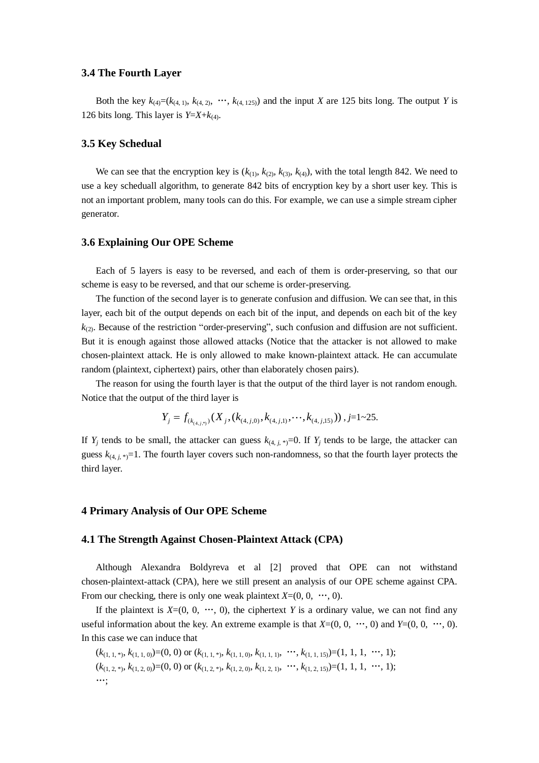#### **3.4 The Fourth Layer**

Both the key  $k_{(4)}=(k_{(4,1)}, k_{(4,2)}, \dots, k_{(4,125)})$  and the input *X* are 125 bits long. The output *Y* is 126 bits long. This layer is  $Y=X+k_{(4)}$ .

## **3.5 Key Schedual**

We can see that the encryption key is  $(k_{(1)}, k_{(2)}, k_{(3)}, k_{(4)})$ , with the total length 842. We need to use a key scheduall algorithm, to generate 842 bits of encryption key by a short user key. This is not an important problem, many tools can do this. For example, we can use a simple stream cipher generator.

## **3.6 Explaining Our OPE Scheme**

Each of 5 layers is easy to be reversed, and each of them is order-preserving, so that our scheme is easy to be reversed, and that our scheme is order-preserving.

The function of the second layer is to generate confusion and diffusion. We can see that, in this layer, each bit of the output depends on each bit of the input, and depends on each bit of the key  $k_{(2)}$ . Because of the restriction "order-preserving", such confusion and diffusion are not sufficient. But it is enough against those allowed attacks (Notice that the attacker is not allowed to make chosen-plaintext attack. He is only allowed to make known-plaintext attack. He can accumulate random (plaintext, ciphertext) pairs, other than elaborately chosen pairs).

The reason for using the fourth layer is that the output of the third layer is not random enough. Notice that the output of the third layer is<br>  $Y_j = f_{(k_{(4,j,5)})}(X_j, (k_{(4,j,0)}, k_{(4,j,1)}, \dots, k_{(4,j,5)})$ 

it of the third layer is  
\n
$$
Y_j = f_{(k_{(4,j,3)})}(X_j, (k_{(4,j,0)}, k_{(4,j,1)}, \cdots, k_{(4,j,15)}))
$$
,  $j=1$ ~25.

If  $Y_i$  tends to be small, the attacker can guess  $k_{(4, i)}$ ,  $=$ 0. If  $Y_i$  tends to be large, the attacker can guess  $k_{(4, i)}$ ,  $\neq$ =1. The fourth layer covers such non-randomness, so that the fourth layer protects the third layer.

## **4 Primary Analysis of Our OPE Scheme**

#### **4.1 The Strength Against Chosen-Plaintext Attack (CPA)**

Although Alexandra Boldyreva et al [2] proved that OPE can not withstand chosen-plaintext-attack (CPA), here we still present an analysis of our OPE scheme against CPA. From our checking, there is only one weak plaintext  $X=(0, 0, \dots, 0)$ .

If the plaintext is  $X=(0, 0, \dots, 0)$ , the ciphertext Y is a ordinary value, we can not find any useful information about the key. An extreme example is that  $X=(0, 0, \dots, 0)$  and  $Y=(0, 0, \dots, 0)$ . In this case we can induce that

$$
(k_{(1,1, *), k_{(1,1,0)}})=(0, 0) \text{ or } (k_{(1,1, *), k_{(1,1,0)}, k_{(1,1,1)}, \cdots, k_{(1,1,15)})=(1, 1, 1, \cdots, 1);
$$
  

$$
(k_{(1,2, *), k_{(1,2,0)}})=(0, 0) \text{ or } (k_{(1,2, *), k_{(1,2,0)}, k_{(1,2,1)}, \cdots, k_{(1,2,15)})=(1, 1, 1, \cdots, 1);
$$
  

$$
\cdots;
$$